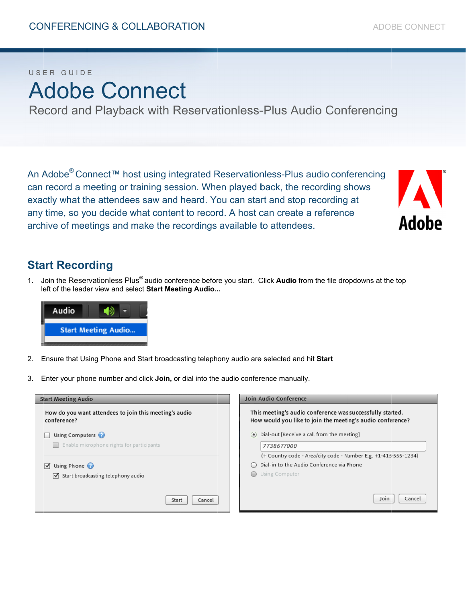#### USER GUIDE

# Adobe Connect

Record and Playback with Reservationless-Plus Audio Conferencing

An Adobe<sup>®</sup> Connect™ host using integrated Reservationless-Plus audio conferencing can record a meeting or training session. When played back, the recording shows exactly what the attendees saw and heard. You can start and stop recording at any time, so you decide what content to record. A host can create a reference archive of meetings and make the recordings available to attendees.



#### **Start Recording**

 $1.$ left of the leader view and select Start Meeting Audio... Join the Reservationless Plus<sup>®</sup> audio conference before you start. Click **Audio** from the file dropdowns at the top



- 2. Ensure that Using Phone and Start broadcasting telephony audio are selected and hit Start
- 3. Enter your phone number and click **Join**, or dial into the audio conference manually.

| <b>Start Meeting Audio</b>                                            | Join Audio Conference                                                                                                   |
|-----------------------------------------------------------------------|-------------------------------------------------------------------------------------------------------------------------|
| How do you want attendees to join this meeting's audio<br>conference? | This meeting's audio conference was successfully started.<br>How would you like to join the meeting's audio conference? |
| Using Computers                                                       | (a) Dial-out [Receive a call from the meeting]                                                                          |
| Enable microphone rights for participants                             | 7738677000                                                                                                              |
|                                                                       | (+ Country code - Area/city code - Number E.g. +1-415-555-1234)                                                         |
| Using Phone<br>$\blacktriangledown$                                   | Dial-in to the Audio Conference via Phone                                                                               |
| Start broadcasting telephony audio<br>M                               | Using Computer<br>$\bigcirc$                                                                                            |
|                                                                       |                                                                                                                         |
| Start<br>Cancel                                                       | Cance<br>Join                                                                                                           |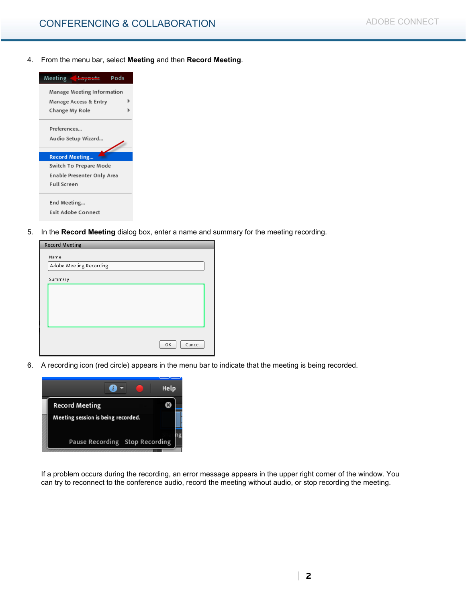4. From the menu bar, select **Meeting** and then **Record Meeting**.



5. In the **Record Meeting** dialog box, enter a name and summary for the meeting recording.

| <b>Record Meeting</b>   |              |
|-------------------------|--------------|
| Name                    |              |
| Adobe Meeting Recording |              |
| Summary                 |              |
|                         |              |
|                         |              |
|                         |              |
|                         |              |
|                         |              |
|                         | Cancel<br>OK |
|                         |              |

6. A recording icon (red circle) appears in the menu bar to indicate that the meeting is being recorded.



If a problem occurs during the recording, an error message appears in the upper right corner of the window. You can try to reconnect to the conference audio, record the meeting without audio, or stop recording the meeting.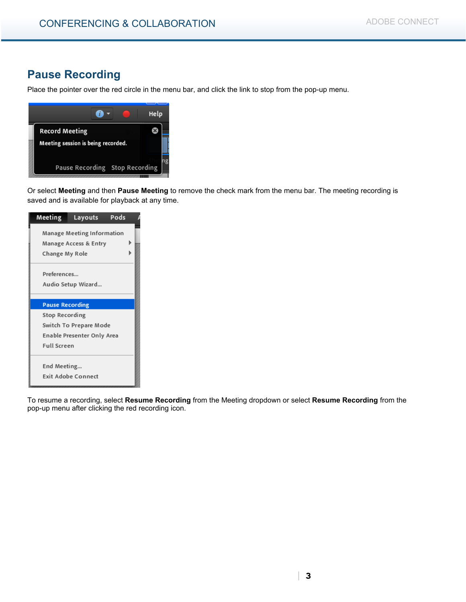#### **Pause Recording**

Place the pointer over the red circle in the menu bar, and click the link to stop from the pop-up menu.



Or select **Meeting** and then **Pause Meeting** to remove the check mark from the menu bar. The meeting recording is saved and is available for playback at any time.

| Meeting                | Layouts                    | Pods |
|------------------------|----------------------------|------|
|                        | Manage Meeting Information |      |
|                        | Manage Access & Entry      |      |
| Change My Role         |                            |      |
|                        |                            |      |
| Preferences            |                            |      |
|                        | Audio Setup Wizard         |      |
|                        |                            |      |
| <b>Pause Recording</b> |                            |      |
| Stop Recording         |                            |      |
|                        | Switch To Prepare Mode     |      |
|                        | Enable Presenter Only Area |      |
| <b>Full Screen</b>     |                            |      |
|                        |                            |      |
| End Meeting            |                            |      |
|                        | <b>Exit Adobe Connect</b>  |      |

To resume a recording, select **Resume Recording** from the Meeting dropdown or select **Resume Recording** from the pop-up menu after clicking the red recording icon.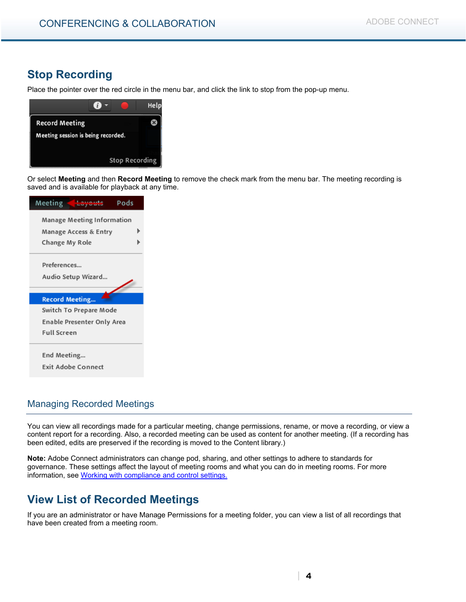## **Stop Recording**

Place the pointer over the red circle in the menu bar, and click the link to stop from the pop-up menu.



Or select **Meeting** and then **Record Meeting** to remove the check mark from the menu bar. The meeting recording is saved and is available for playback at any time.



#### Managing Recorded Meetings

You can view all recordings made for a particular meeting, change permissions, rename, or move a recording, or view a content report for a recording. Also, a recorded meeting can be used as content for another meeting. (If a recording has been edited, edits are preserved if the recording is moved to the Content library.)

**Note:** Adobe Connect administrators can change pod, sharing, and other settings to adhere to standards for governance. These settings affect the layout of meeting rooms and what you can do in meeting rooms. For more information, see Working with compliance and control settings.

#### **View List of Recorded Meetings**

If you are an administrator or have Manage Permissions for a meeting folder, you can view a list of all recordings that have been created from a meeting room.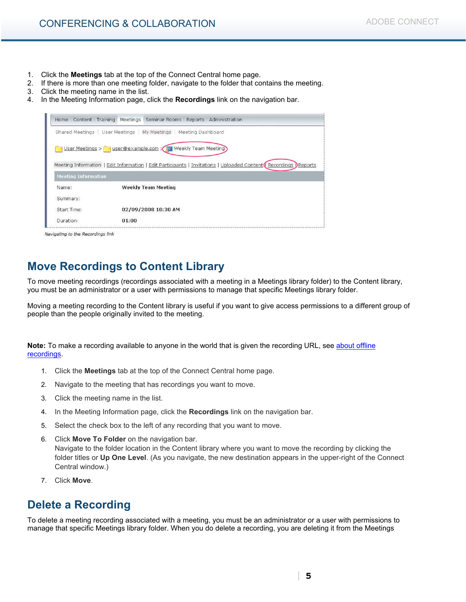- 1. Click the **Meetings** tab at the top of the Connect Central home page.
- 2. If there is more than one meeting folder, navigate to the folder that contains the meeting.
- 3. Click the meeting name in the list.
- 4. In the Meeting Information page, click the **Recordings** link on the navigation bar.

|                                                       | Shared Meetings   User Meetings   My Meetings   Meeting Dashboard                                                 |
|-------------------------------------------------------|-------------------------------------------------------------------------------------------------------------------|
|                                                       | User Meetings > Viser@example.com > Meekly Team Meeting                                                           |
|                                                       | Meeting Information   Edit Information   Edit Participants   Invitations   Uploaded Content (Recordings ) Reports |
|                                                       |                                                                                                                   |
|                                                       |                                                                                                                   |
| Name:                                                 | <b>Weekly Team Meeting</b>                                                                                        |
|                                                       |                                                                                                                   |
| <b>Meeting Information</b><br>Summary:<br>Start Time: | 02/09/2008 10:30 AM                                                                                               |

Navigating to the Recordings link

#### **Move Recordings to Content Library**

To move meeting recordings (recordings associated with a meeting in a Meetings library folder) to the Content library, you must be an administrator or a user with permissions to manage that specific Meetings library folder.

Moving a meeting recording to the Content library is useful if you want to give access permissions to a different group of people than the people originally invited to the meeting.

**Note:** To make a recording available to anyone in the world that is given the recording URL, see about offline recordings.

- 1. Click the **Meetings** tab at the top of the Connect Central home page.
- 2. Navigate to the meeting that has recordings you want to move.
- 3. Click the meeting name in the list.
- 4. In the Meeting Information page, click the **Recordings** link on the navigation bar.
- 5. Select the check box to the left of any recording that you want to move.
- 6. Click **Move To Folder** on the navigation bar. Navigate to the folder location in the Content library where you want to move the recording by clicking the folder titles or **Up One Level**. (As you navigate, the new destination appears in the upper-right of the Connect Central window.)
- 7. Click **Move**.

#### **Delete a Recording**

To delete a meeting recording associated with a meeting, you must be an administrator or a user with permissions to manage that specific Meetings library folder. When you do delete a recording, you are deleting it from the Meetings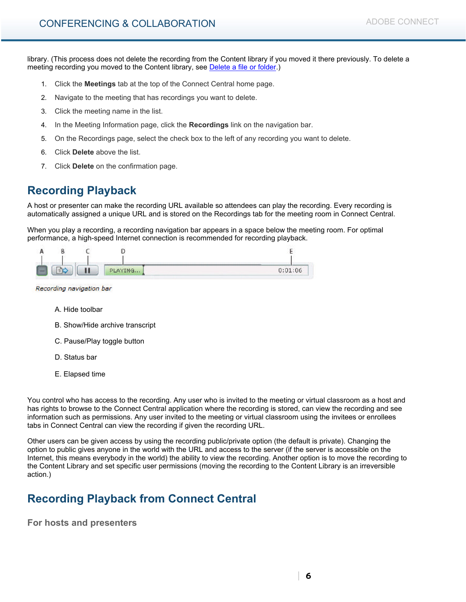library. (This process does not delete the recording from the Content library if you moved it there previously. To delete a meeting recording you moved to the Content library, see Delete a file or folder.)

- 1. Click the **Meetings** tab at the top of the Connect Central home page.
- 2. Navigate to the meeting that has recordings you want to delete.
- 3. Click the meeting name in the list.
- 4. In the Meeting Information page, click the **Recordings** link on the navigation bar.
- 5. On the Recordings page, select the check box to the left of any recording you want to delete.
- 6. Click **Delete** above the list.
- 7. Click **Delete** on the confirmation page.

## **Recording Playback**

A host or presenter can make the recording URL available so attendees can play the recording. Every recording is automatically assigned a unique URL and is stored on the Recordings tab for the meeting room in Connect Central.

When you play a recording, a recording navigation bar appears in a space below the meeting room. For optimal performance, a high-speed Internet connection is recommended for recording playback.

|  | Ш | PLAYING | 0:01:06<br><b>STATISTICS</b> |
|--|---|---------|------------------------------|

Recording navigation bar

- A. Hide toolbar
- B. Show/Hide archive transcript
- C. Pause/Play toggle button
- D. Status bar
- E. Elapsed time

You control who has access to the recording. Any user who is invited to the meeting or virtual classroom as a host and has rights to browse to the Connect Central application where the recording is stored, can view the recording and see information such as permissions. Any user invited to the meeting or virtual classroom using the invitees or enrollees tabs in Connect Central can view the recording if given the recording URL.

Other users can be given access by using the recording public/private option (the default is private). Changing the option to public gives anyone in the world with the URL and access to the server (if the server is accessible on the Internet, this means everybody in the world) the ability to view the recording. Another option is to move the recording to the Content Library and set specific user permissions (moving the recording to the Content Library is an irreversible action.)

## **Recording Playback from Connect Central**

**For hosts and presenters**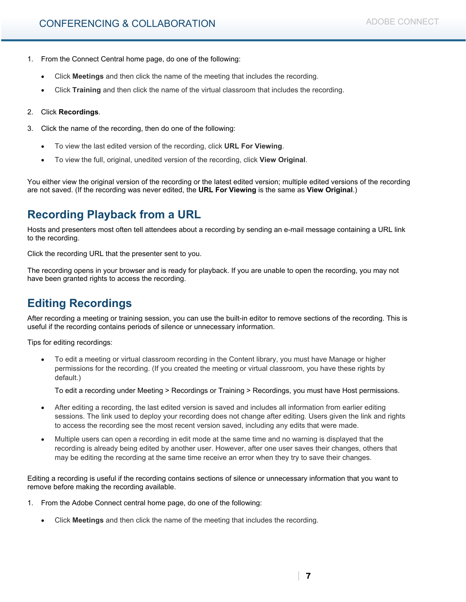- 1. From the Connect Central home page, do one of the following:
	- Click **Meetings** and then click the name of the meeting that includes the recording.
	- Click **Training** and then click the name of the virtual classroom that includes the recording.

#### 2. Click **Recordings**.

- 3. Click the name of the recording, then do one of the following:
	- To view the last edited version of the recording, click **URL For Viewing**.
	- To view the full, original, unedited version of the recording, click **View Original**.

You either view the original version of the recording or the latest edited version; multiple edited versions of the recording are not saved. (If the recording was never edited, the **URL For Viewing** is the same as **View Original**.)

#### **Recording Playback from a URL**

Hosts and presenters most often tell attendees about a recording by sending an e-mail message containing a URL link to the recording.

Click the recording URL that the presenter sent to you.

The recording opens in your browser and is ready for playback. If you are unable to open the recording, you may not have been granted rights to access the recording.

## **Editing Recordings**

After recording a meeting or training session, you can use the built-in editor to remove sections of the recording. This is useful if the recording contains periods of silence or unnecessary information.

Tips for editing recordings:

• To edit a meeting or virtual classroom recording in the Content library, you must have Manage or higher permissions for the recording. (If you created the meeting or virtual classroom, you have these rights by default.)

To edit a recording under Meeting > Recordings or Training > Recordings, you must have Host permissions.

- After editing a recording, the last edited version is saved and includes all information from earlier editing sessions. The link used to deploy your recording does not change after editing. Users given the link and rights to access the recording see the most recent version saved, including any edits that were made.
- Multiple users can open a recording in edit mode at the same time and no warning is displayed that the recording is already being edited by another user. However, after one user saves their changes, others that may be editing the recording at the same time receive an error when they try to save their changes.

Editing a recording is useful if the recording contains sections of silence or unnecessary information that you want to remove before making the recording available.

- 1. From the Adobe Connect central home page, do one of the following:
	- Click **Meetings** and then click the name of the meeting that includes the recording.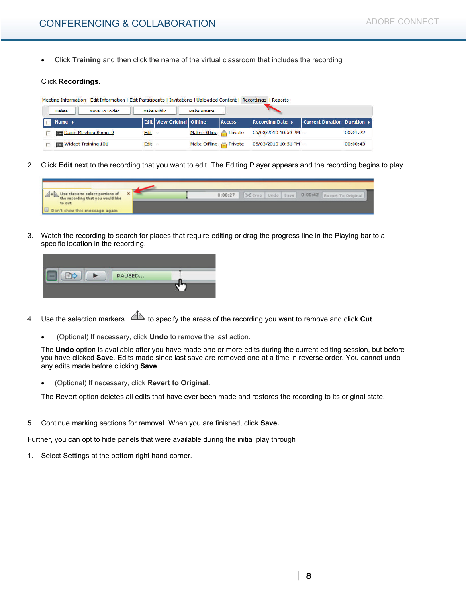• Click **Training** and then click the name of the virtual classroom that includes the recording

#### Click **Recordings**.

| Edit Information   Edit Participants   Invitations   Uploaded Content   Recordings   Reports<br>Meeting Information |        |                                       |                               |               |                       |                             |          |  |
|---------------------------------------------------------------------------------------------------------------------|--------|---------------------------------------|-------------------------------|---------------|-----------------------|-----------------------------|----------|--|
| Move To Folder<br>Make Public<br>Make Private<br>Delete                                                             |        |                                       |                               |               |                       |                             |          |  |
| Rame >                                                                                                              |        | <b>Edit   View Original   Offline</b> |                               | <b>Access</b> | Recording Date >      | Current Duration Duration ▶ |          |  |
| Dan's Meeting Room 9                                                                                                | Edit   |                                       | Make Offline <b>P</b> Private |               | 05/03/2010 10:53 PM - |                             | 00:01:22 |  |
| <b>Widget Training 101</b>                                                                                          | Edit - |                                       | Make Offline <b>Private</b>   |               | 05/03/2010 10:51 PM - |                             | 00:00:43 |  |

2. Click **Edit** next to the recording that you want to edit. The Editing Player appears and the recording begins to play.



3. Watch the recording to search for places that require editing or drag the progress line in the Playing bar to a specific location in the recording.



- 4. Use the selection markers  $\triangleq$  to specify the areas of the recording you want to remove and click **Cut**.
	- (Optional) If necessary, click **Undo** to remove the last action.

The **Undo** option is available after you have made one or more edits during the current editing session, but before you have clicked **Save**. Edits made since last save are removed one at a time in reverse order. You cannot undo any edits made before clicking **Save**.

• (Optional) If necessary, click **Revert to Original**.

The Revert option deletes all edits that have ever been made and restores the recording to its original state.

5. Continue marking sections for removal. When you are finished, click **Save.**

Further, you can opt to hide panels that were available during the initial play through

1. Select Settings at the bottom right hand corner.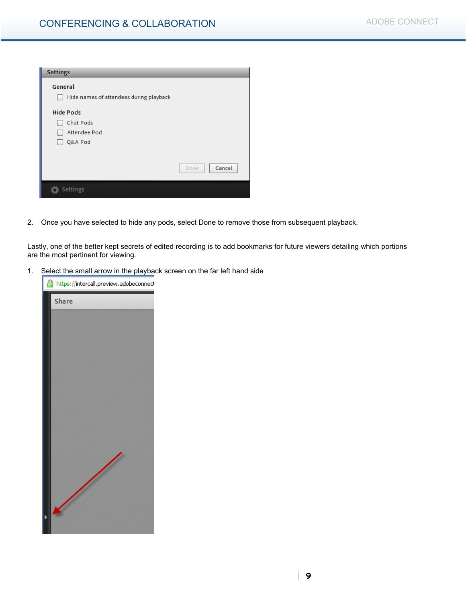| Settings                                |                |
|-----------------------------------------|----------------|
| General                                 |                |
| Hide names of attendees during playback |                |
| <b>Hide Pods</b>                        |                |
| Chat Pods                               |                |
| Attendee Pod                            |                |
| Q&A Pod                                 |                |
|                                         |                |
|                                         | Cancel<br>Done |
| Settings                                |                |

2. Once you have selected to hide any pods, select Done to remove those from subsequent playback.

Lastly, one of the better kept secrets of edited recording is to add bookmarks for future viewers detailing which portions are the most pertinent for viewing.

1. Select the small arrow in the playback screen on the far left hand side

| https://intercall.preview.adobeconnecl |
|----------------------------------------|
| Share                                  |
|                                        |
|                                        |
|                                        |
|                                        |
|                                        |
|                                        |
|                                        |
|                                        |
|                                        |
|                                        |
|                                        |
|                                        |
|                                        |
|                                        |
|                                        |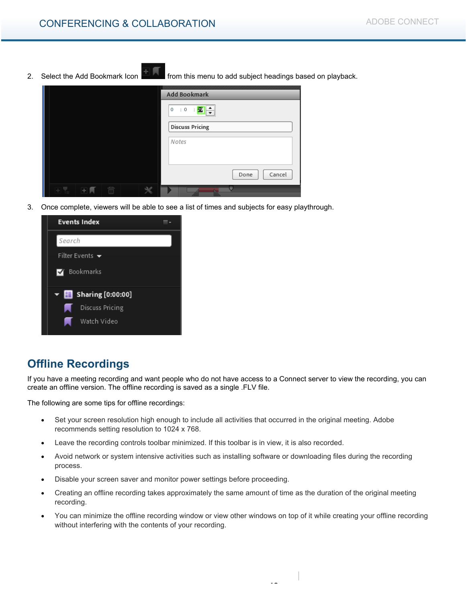- 
- 2. Select the Add Bookmark Icon **Fighter** from this menu to add subject headings based on playback.

|  |  |               | Add Bookmark                              |
|--|--|---------------|-------------------------------------------|
|  |  |               | $\mathbb{E}[\mathbf{0}]:=\mathbf{0}$<br>0 |
|  |  |               | <b>Discuss Pricing</b>                    |
|  |  |               | Notes                                     |
|  |  |               |                                           |
|  |  |               | Cancel<br>Done                            |
|  |  | $\mathcal{L}$ |                                           |

3. Once complete, viewers will be able to see a list of times and subjects for easy playthrough.

| <b>Events Index</b>                       |  |
|-------------------------------------------|--|
| Search                                    |  |
| Filter Events $\,\,\blacktriangleright\,$ |  |
| Bookmarks<br>M                            |  |
| $\blacktriangledown$ Sharing [0:00:00]    |  |
| Discuss Pricing<br>. .                    |  |
| Watch Video                               |  |

#### **Offline Recordings**

If you have a meeting recording and want people who do not have access to a Connect server to view the recording, you can create an offline version. The offline recording is saved as a single .FLV file.

The following are some tips for offline recordings:

- Set your screen resolution high enough to include all activities that occurred in the original meeting. Adobe recommends setting resolution to 1024 x 768.
- Leave the recording controls toolbar minimized. If this toolbar is in view, it is also recorded.
- Avoid network or system intensive activities such as installing software or downloading files during the recording process.
- Disable your screen saver and monitor power settings before proceeding.
- Creating an offline recording takes approximately the same amount of time as the duration of the original meeting recording.
- You can minimize the offline recording window or view other windows on top of it while creating your offline recording without interfering with the contents of your recording.

|

**10**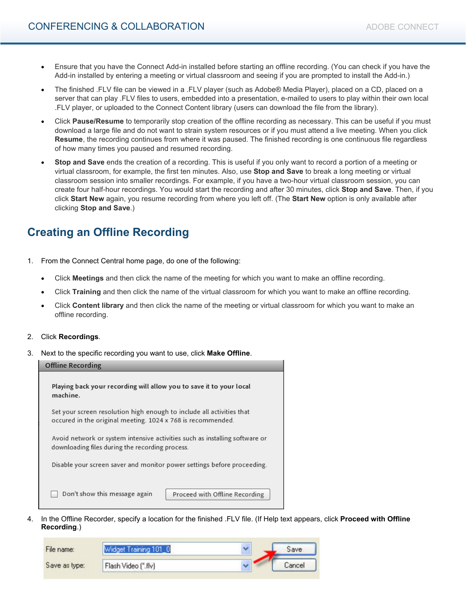- Ensure that you have the Connect Add-in installed before starting an offline recording. (You can check if you have the Add-in installed by entering a meeting or virtual classroom and seeing if you are prompted to install the Add-in.)
- The finished .FLV file can be viewed in a .FLV player (such as Adobe® Media Player), placed on a CD, placed on a server that can play .FLV files to users, embedded into a presentation, e-mailed to users to play within their own local .FLV player, or uploaded to the Connect Content library (users can download the file from the library).
- Click **Pause/Resume** to temporarily stop creation of the offline recording as necessary. This can be useful if you must download a large file and do not want to strain system resources or if you must attend a live meeting. When you click **Resume**, the recording continues from where it was paused. The finished recording is one continuous file regardless of how many times you paused and resumed recording.
- **Stop and Save** ends the creation of a recording. This is useful if you only want to record a portion of a meeting or virtual classroom, for example, the first ten minutes. Also, use **Stop and Save** to break a long meeting or virtual classroom session into smaller recordings. For example, if you have a two-hour virtual classroom session, you can create four half-hour recordings. You would start the recording and after 30 minutes, click **Stop and Save**. Then, if you click **Start New** again, you resume recording from where you left off. (The **Start New** option is only available after clicking **Stop and Save**.)

## **Creating an Offline Recording**

- 1. From the Connect Central home page, do one of the following:
	- Click **Meetings** and then click the name of the meeting for which you want to make an offline recording.
	- Click **Training** and then click the name of the virtual classroom for which you want to make an offline recording.
	- Click **Content library** and then click the name of the meeting or virtual classroom for which you want to make an offline recording.
- 2. Click **Recordings**.
- 3. Next to the specific recording you want to use, click **Make Offline**.

| <b>Offline Recording</b>                                                                                                             |  |  |  |  |  |
|--------------------------------------------------------------------------------------------------------------------------------------|--|--|--|--|--|
| Playing back your recording will allow you to save it to your local<br>machine.                                                      |  |  |  |  |  |
| Set your screen resolution high enough to include all activities that<br>occured in the original meeting. 1024 x 768 is recommended. |  |  |  |  |  |
| Avoid network or system intensive activities such as installing software or<br>downloading files during the recording process.       |  |  |  |  |  |
| Disable your screen saver and monitor power settings before proceeding.                                                              |  |  |  |  |  |
| Don't show this message again<br>Proceed with Offline Recording                                                                      |  |  |  |  |  |

4. In the Offline Recorder, specify a location for the finished .FLV file. (If Help text appears, click **Proceed with Offline Recording**.)

| File name:    | Widget Training 101_0 | ٠ | Save   |
|---------------|-----------------------|---|--------|
| Save as type: | Flash Video (".flv)   |   | Cancel |